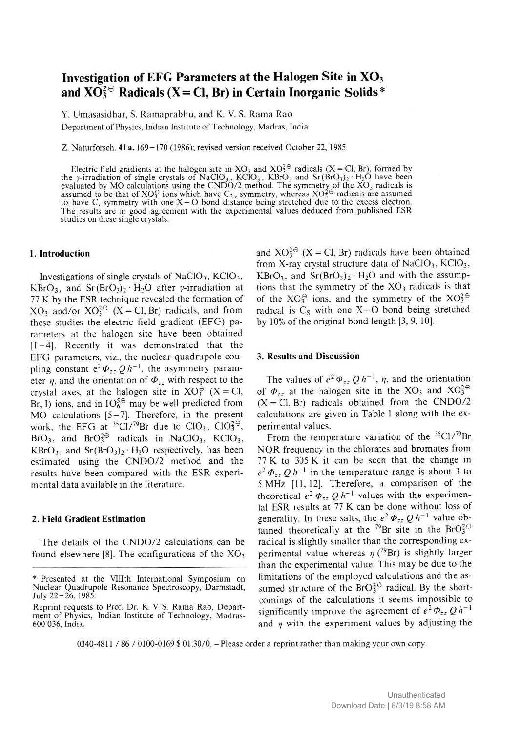# **Investigation of EFG Parameters at the Halogen Site in XO3** and  $XO_3^2$ <sup> $\odot$ </sup> Radicals (X = Cl, Br) in Certain Inorganic Solids\*

Y. Umasasidhar, S. Ramaprabhu, and K. V. S. Rama Rao **Department of Physics, Indian Institute of Technology, Madras, India**

**Z. Naturforsch. 41 a, 169-170 (1986); revised version received October 22, 1985**

Electric field gradients at the halogen site in  $XO_3$  and  $XO_3^{\leq}$  radicals (X = Cl, Br), formed by the y-irradiation of single crystals of NaClO<sub>3</sub>, KClO<sub>3</sub>, KBrO<sub>3</sub> and Sr(BrO<sub>3</sub>)<sub>2</sub>  $H_2O$  have been evaluated by MO calculations using the CNDO/2 method. The symmetry of the XO<sub>3</sub> radicals is assumed to be that of  $XO^{\otimes}$  ions which have  $C_{3v}$  symmetry, whereas  $XO^{\otimes}$  radicals are assumed to have  $C_s$  symmetry with one  $X - O$  bond distance being stretched due to the excess electron. **The results are in good agreement with the experimental values deduced from published ESR studies on these single crystals.**

## **1. Introduction**

Investigations of single crystals of NaClO<sub>3</sub>, KClO<sub>3</sub>,  $KBrO_3$ , and  $Sr(BrO_3)_2 \cdot H_2O$  after y-irradiation at 77 K by the ESR technique revealed the formation of  $XO_3$  and/or  $XO_3^{2\Theta}$  (X = Cl, Br) radicals, and from these studies the electric field gradient (EFG) parameters at the halogen site have been obtained  $[1-4]$ . Recently it was demonstrated that the EFG parameters, viz., the nuclear quadrupole coupling constant  $e^2 \Phi_{zz} Q h^{-1}$ , the asymmetry parameter  $\eta$ , and the orientation of  $\Phi_{zz}$  with respect to the crystal axes, at the halogen site in  $XO_3^{\ominus}$  (X = Cl, Br, I) ions, and in  $IO<sub>6</sub><sup>5</sup>$  may be well predicted from MO calculations [5-7], Therefore, in the present work, the EFG at  ${}^{35}Cl/{}^{79}Br$  due to  $ClO<sub>3</sub>$ ,  $ClO<sub>3</sub><sup>2</sup>$ <sup> $\Theta$ </sup>, BrO<sub>3</sub>, and BrO $3^{\circ}$  radicals in NaClO<sub>3</sub>, KClO<sub>3</sub>,  $KBrO<sub>3</sub>$ , and  $Sr(BrO<sub>3</sub>)<sub>2</sub> · H<sub>2</sub>O$  respectively, has been estimated using the CNDO/2 method and the results have been compared with the ESR experimental data available in the literature.

## **2. Field Gradient Estimation**

The details of the CNDO/2 calculations can be found elsewhere [8]. The configurations of the  $XO_3$  and  $XO_3^{2\Theta}$  (X = Cl, Br) radicals have been obtained from X-ray crystal structure data of NaClO<sub>3</sub>, KClO<sub>3</sub>,  $KBrO<sub>3</sub>$ , and  $Sr(BrO<sub>3</sub>)<sub>2</sub>· H<sub>2</sub>O$  and with the assumptions that the symmetry of the  $XO<sub>3</sub>$  radicals is that of the  $XO_3^{\ominus}$  ions, and the symmetry of the  $XO_3^{2\ominus}$ radical is  $C_S$  with one  $X - O$  bond being stretched by 10% of the original bond length [3, 9, 10].

#### **3. Results and Discussion**

The values of  $e^2 \Phi_{zz} Q h^{-1}$ ,  $\eta$ , and the orientation of  $\Phi_{zz}$  at the halogen site in the XO<sub>3</sub> and XO<sup>2</sup><sup>0</sup>  $(X = CI, Br)$  radicals obtained from the CNDO/2 calculations are given in Table 1 along with the experimental values.

From the temperature variation of the  $35 \text{Cl}$ /79Br NQR frequency in the chlorates and bromates from 77 K to 305 K it can be seen that the change in  $e^{2} \Phi_{zz} Q h^{-1}$  in the temperature range is about 3 to 5 MHz [11,12]. Therefore, a comparison of the theoretical  $e^2 \Phi_{1}$  *Qh*<sup>-1</sup> values with the experimental ESR results at 77 K can be done without loss of generality. In these salts, the  $e^2 \Phi_{zz} Q h^{-1}$  value obtained theoretically at the  $^{79}Br$  site in the BrO $^{2\Theta}$ radical is slightly smaller than the corresponding experimental value whereas  $\eta$  (<sup>79</sup>Br) is slightly larger than the experimental value. This may be due to the limitations of the employed calculations and the assumed structure of the  $BrO_3^{2\Theta}$  radical. By the shortcomings of the calculations it seems impossible to significantly improve the agreement of  $e^2 \Phi_{zz} Q h^{-1}$ and  $\eta$  with the experiment values by adjusting the

**0340-4811 / 86 / 0100-0169 \$ 01.30/0. - Please order a reprint rather than making your own copy.**

**<sup>\*</sup> Presented at the Vlllth International Symposium on Nuclear Quadrupole Resonance Spectroscopy, Darmstadt,** July 22-26, 1985.

**Reprint requests to Prof. Dr. K. V. S. Rama Rao, Depart**ment of Physics, Indian Institute of Technology, Madras-**600 036, India.**